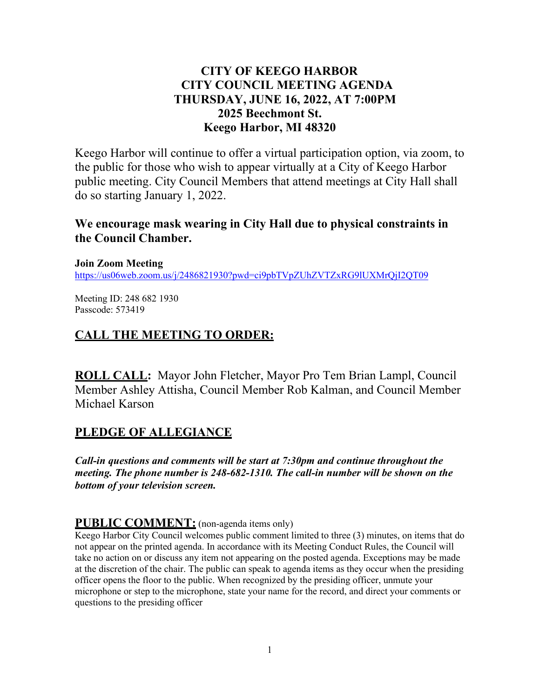## **CITY OF KEEGO HARBOR CITY COUNCIL MEETING AGENDA THURSDAY, JUNE 16, 2022, AT 7:00PM 2025 Beechmont St. Keego Harbor, MI 48320**

Keego Harbor will continue to offer a virtual participation option, via zoom, to the public for those who wish to appear virtually at a City of Keego Harbor public meeting. City Council Members that attend meetings at City Hall shall do so starting January 1, 2022.

### **We encourage mask wearing in City Hall due to physical constraints in the Council Chamber.**

**Join Zoom Meeting**  <https://us06web.zoom.us/j/2486821930?pwd=ci9pbTVpZUhZVTZxRG9lUXMrQjI2QT09>

Meeting ID: 248 682 1930 Passcode: 573419

### **CALL THE MEETING TO ORDER:**

**ROLL CALL:** Mayor John Fletcher, Mayor Pro Tem Brian Lampl, Council Member Ashley Attisha, Council Member Rob Kalman, and Council Member Michael Karson

## **PLEDGE OF ALLEGIANCE**

*Call-in questions and comments will be start at 7:30pm and continue throughout the meeting. The phone number is 248-682-1310. The call-in number will be shown on the bottom of your television screen.*

### **PUBLIC COMMENT:** (non-agenda items only)

Keego Harbor City Council welcomes public comment limited to three (3) minutes, on items that do not appear on the printed agenda. In accordance with its Meeting Conduct Rules, the Council will take no action on or discuss any item not appearing on the posted agenda. Exceptions may be made at the discretion of the chair. The public can speak to agenda items as they occur when the presiding officer opens the floor to the public. When recognized by the presiding officer, unmute your microphone or step to the microphone, state your name for the record, and direct your comments or questions to the presiding officer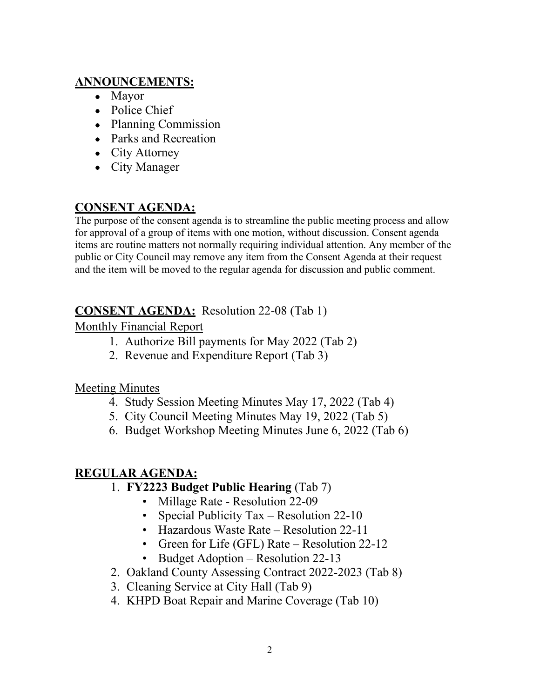## **ANNOUNCEMENTS:**

- Mayor
- Police Chief
- Planning Commission
- Parks and Recreation
- City Attorney
- City Manager

# **CONSENT AGENDA:**

The purpose of the consent agenda is to streamline the public meeting process and allow for approval of a group of items with one motion, without discussion. Consent agenda items are routine matters not normally requiring individual attention. Any member of the public or City Council may remove any item from the Consent Agenda at their request and the item will be moved to the regular agenda for discussion and public comment.

# **CONSENT AGENDA:** Resolution 22-08 (Tab 1)

# Monthly Financial Report

- 1. Authorize Bill payments for May 2022 (Tab 2)
- 2. Revenue and Expenditure Report (Tab 3)

# Meeting Minutes

- 4. Study Session Meeting Minutes May 17, 2022 (Tab 4)
- 5. City Council Meeting Minutes May 19, 2022 (Tab 5)
- 6. Budget Workshop Meeting Minutes June 6, 2022 (Tab 6)

# **REGULAR AGENDA:**

- 1. **FY2223 Budget Public Hearing** (Tab 7)
	- Millage Rate Resolution 22-09
	- Special Publicity Tax Resolution 22-10
	- Hazardous Waste Rate Resolution 22-11
	- Green for Life (GFL) Rate Resolution 22-12
	- Budget Adoption Resolution 22-13
- 2. Oakland County Assessing Contract 2022-2023 (Tab 8)
- 3. Cleaning Service at City Hall (Tab 9)
- 4. KHPD Boat Repair and Marine Coverage (Tab 10)